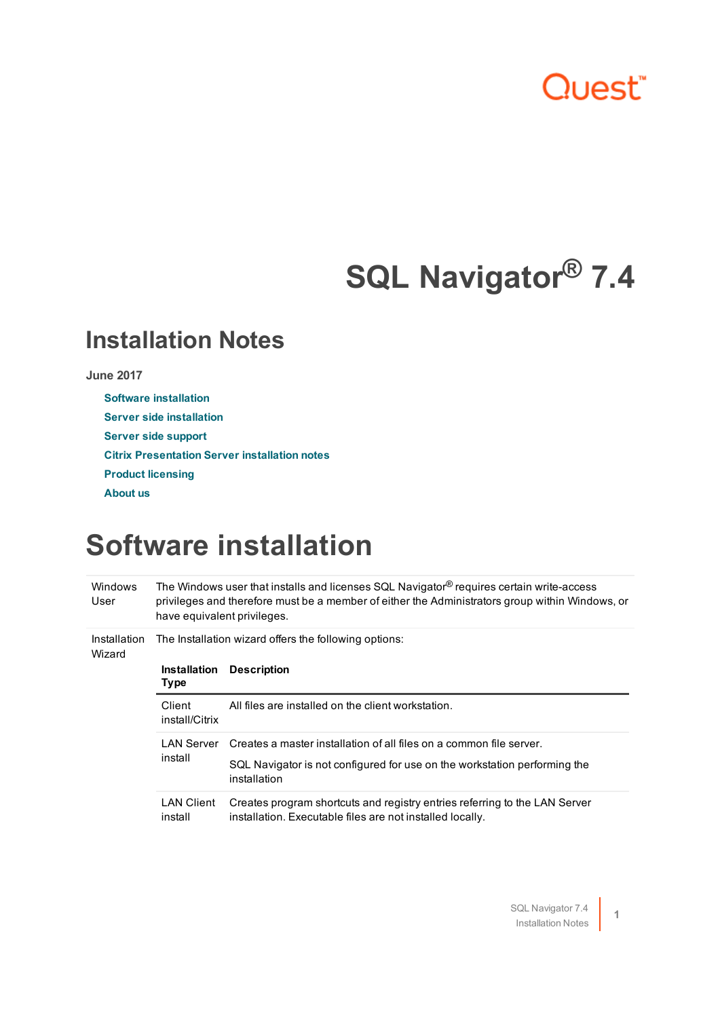# Quest<sup>®</sup>

# **SQL Navigator® 7.4**

### **Installation Notes**

#### **June 2017**

- **Software [installation](#page-0-0)**
- **Server side [installation](#page-1-0)**
- **Server side [support](#page-1-1)**
- **Citrix [Presentation](#page-3-0) Server installation notes**
- **Product [licensing](#page-3-1)**
- <span id="page-0-0"></span>**[About](#page-4-0) us**

### **Software installation**

| <b>Windows</b><br>User | The Windows user that installs and licenses SQL Navigator® requires certain write-access<br>privileges and therefore must be a member of either the Administrators group within Windows, or<br>have equivalent privileges. |                                                                                                                                         |
|------------------------|----------------------------------------------------------------------------------------------------------------------------------------------------------------------------------------------------------------------------|-----------------------------------------------------------------------------------------------------------------------------------------|
| Installation<br>Wizard | The Installation wizard offers the following options:                                                                                                                                                                      |                                                                                                                                         |
|                        | <b>Installation</b><br><b>Type</b>                                                                                                                                                                                         | <b>Description</b>                                                                                                                      |
|                        | Client<br>install/Citrix                                                                                                                                                                                                   | All files are installed on the client workstation.                                                                                      |
|                        | LAN Server<br>install                                                                                                                                                                                                      | Creates a master installation of all files on a common file server.                                                                     |
|                        |                                                                                                                                                                                                                            | SQL Navigator is not configured for use on the workstation performing the<br>installation                                               |
|                        | <b>LAN Client</b><br>install                                                                                                                                                                                               | Creates program shortcuts and registry entries referring to the LAN Server<br>installation. Executable files are not installed locally. |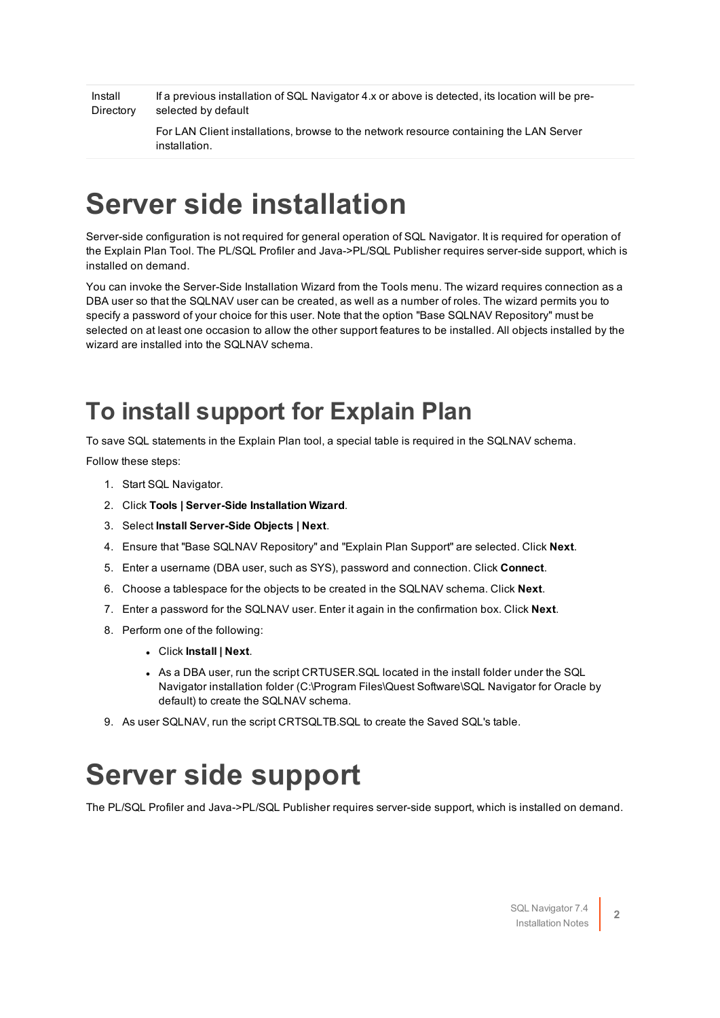Install **Directory** If a previous installation of SQL Navigator 4.x or above is detected, its location will be preselected by default

> For LAN Client installations, browse to the network resource containing the LAN Server installation.

# <span id="page-1-0"></span>**Server side installation**

Server-side configuration is not required for general operation of SQL Navigator. It is required for operation of the Explain Plan Tool. The PL/SQL Profiler and Java->PL/SQL Publisher requires server-side support, which is installed on demand.

You can invoke the Server-Side Installation Wizard from the Tools menu. The wizard requires connection as a DBA user so that the SQLNAV user can be created, as well as a number of roles. The wizard permits you to specify a password of your choice for this user. Note that the option "Base SQLNAV Repository" must be selected on at least one occasion to allow the other support features to be installed. All objects installed by the wizard are installed into the SQLNAV schema.

### **To install support for Explain Plan**

To save SQL statements in the Explain Plan tool, a special table is required in the SQLNAV schema.

Follow these steps:

- 1. Start SQL Navigator.
- 2. Click **Tools | Server-Side Installation Wizard**.
- 3. Select **Install Server-Side Objects | Next**.
- 4. Ensure that "Base SQLNAV Repository" and "Explain Plan Support" are selected. Click **Next**.
- 5. Enter a username (DBA user, such as SYS), password and connection. Click **Connect**.
- 6. Choose a tablespace for the objects to be created in the SQLNAV schema. Click **Next**.
- 7. Enter a password for the SQLNAV user. Enter it again in the confirmation box. Click **Next**.
- 8. Perform one of the following:
	- <sup>l</sup> Click **Install | Next**.
	- As a DBA user, run the script CRTUSER.SQL located in the install folder under the SQL Navigator installation folder (C:\Program Files\Quest Software\SQL Navigator for Oracle by default) to create the SQLNAV schema.
- <span id="page-1-1"></span>9. As user SQLNAV, run the script CRTSQLTB.SQL to create the Saved SQL's table.

## **Server side support**

The PL/SQL Profiler and Java->PL/SQL Publisher requires server-side support, which is installed on demand.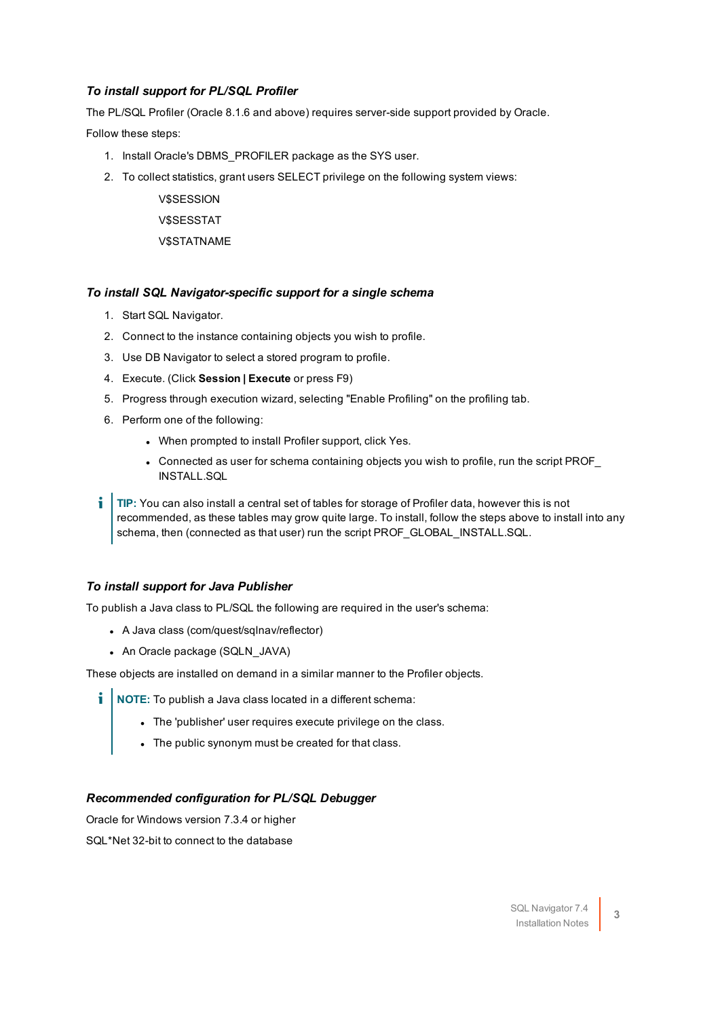#### *To install support for PL/SQL Profiler*

The PL/SQL Profiler (Oracle 8.1.6 and above) requires server-side support provided by Oracle.

Follow these steps:

- 1. Install Oracle's DBMS\_PROFILER package as the SYS user.
- 2. To collect statistics, grant users SELECT privilege on the following system views:

**V\$SESSION** V\$SESSTAT V\$STATNAME

#### *To install SQL Navigator-specific support for a single schema*

- 1. Start SQL Navigator.
- 2. Connect to the instance containing objects you wish to profile.
- 3. Use DB Navigator to select a stored program to profile.
- 4. Execute. (Click **Session | Execute** or press F9)
- 5. Progress through execution wizard, selecting "Enable Profiling" on the profiling tab.
- 6. Perform one of the following:
	- When prompted to install Profiler support, click Yes.
	- Connected as user for schema containing objects you wish to profile, run the script PROF INSTALL.SQL

÷ **TIP:** You can also install a central set of tables for storage of Profiler data, however this is not recommended, as these tables may grow quite large. To install, follow the steps above to install into any schema, then (connected as that user) run the script PROF\_GLOBAL\_INSTALL.SQL.

#### *To install support for Java Publisher*

To publish a Java class to PL/SQL the following are required in the user's schema:

- A Java class (com/quest/sqlnav/reflector)
- An Oracle package (SQLN\_JAVA)

These objects are installed on demand in a similar manner to the Profiler objects.

- **i** | NOTE: To publish a Java class located in a different schema:
	- The 'publisher' user requires execute privilege on the class.
	- The public synonym must be created for that class.

#### *Recommended configuration for PL/SQL Debugger*

Oracle for Windows version 7.3.4 or higher SQL\*Net 32-bit to connect to the database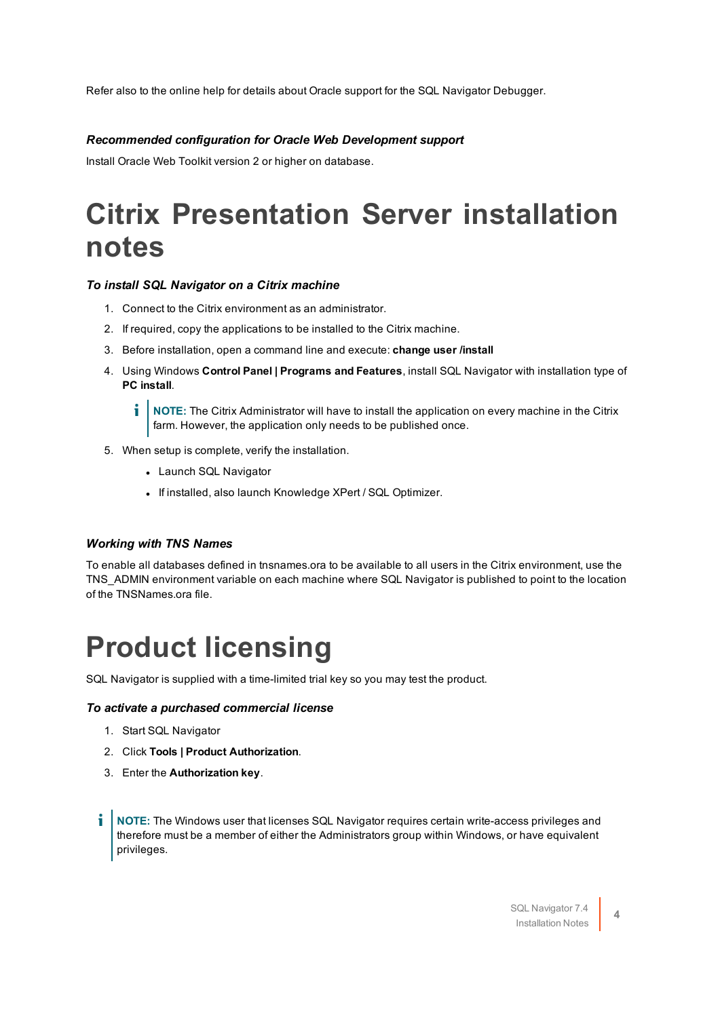Refer also to the online help for details about Oracle support for the SQL Navigator Debugger.

#### *Recommended configuration for Oracle Web Development support*

<span id="page-3-0"></span>Install Oracle Web Toolkit version 2 or higher on database.

# **Citrix Presentation Server installation notes**

#### *To install SQL Navigator on a Citrix machine*

- 1. Connect to the Citrix environment as an administrator.
- 2. If required, copy the applications to be installed to the Citrix machine.
- 3. Before installation, open a command line and execute: **change user /install**
- 4. Using Windows **Control Panel | Programs and Features**, install SQL Navigator with installation type of **PC install**.

**i** NOTE: The Citrix Administrator will have to install the application on every machine in the Citrix farm. However, the application only needs to be published once.

- 5. When setup is complete, verify the installation.
	- Launch SQL Navigator
	- If installed, also launch Knowledge XPert / SQL Optimizer.

#### *Working with TNS Names*

To enable all databases defined in tnsnames.ora to be available to all users in the Citrix environment, use the TNS\_ADMIN environment variable on each machine where SQL Navigator is published to point to the location of the TNSNames.ora file.

## <span id="page-3-1"></span>**Product licensing**

SQL Navigator is supplied with a time-limited trial key so you may test the product.

#### *To activate a purchased commercial license*

- 1. Start SQL Navigator
- 2. Click **Tools | Product Authorization**.
- 3. Enter the **Authorization key**.
- i **NOTE:** The Windows user that licenses SQL Navigator requires certain write-access privileges and therefore must be a member of either the Administrators group within Windows, or have equivalent privileges.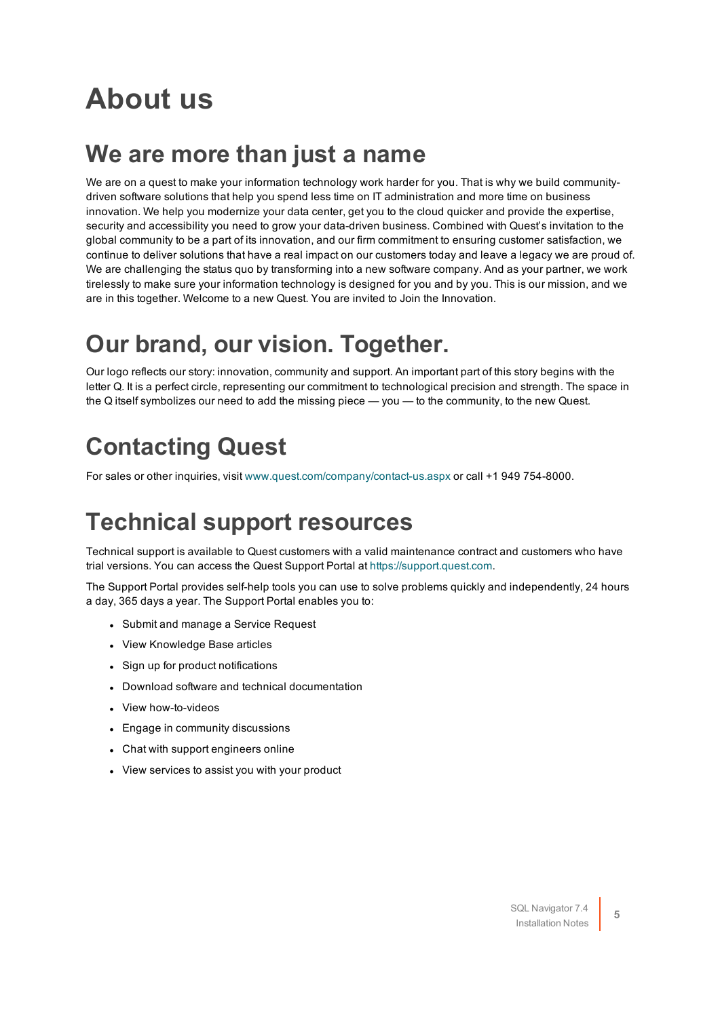# <span id="page-4-0"></span>**About us**

### **We are more than just a name**

We are on a quest to make your information technology work harder for you. That is why we build communitydriven software solutions that help you spend less time on IT administration and more time on business innovation. We help you modernize your data center, get you to the cloud quicker and provide the expertise, security and accessibility you need to grow your data-driven business. Combined with Quest's invitation to the global community to be a part of its innovation, and our firm commitment to ensuring customer satisfaction, we continue to deliver solutions that have a real impact on our customers today and leave a legacy we are proud of. We are challenging the status quo by transforming into a new software company. And as your partner, we work tirelessly to make sure your information technology is designed for you and by you. This is our mission, and we are in this together. Welcome to a new Quest. You are invited to Join the Innovation.

### **Our brand, our vision. Together.**

Our logo reflects our story: innovation, community and support. An important part of this story begins with the letter Q. It is a perfect circle, representing our commitment to technological precision and strength. The space in the Q itself symbolizes our need to add the missing piece — you — to the community, to the new Quest.

### **Contacting Quest**

For sales or other inquiries, visit [www.quest.com/company/contact-us.aspx](https://www.quest.com/company/contact-us.aspx) or call +1 949 754-8000.

### **Technical support resources**

Technical support is available to Quest customers with a valid maintenance contract and customers who have trial versions. You can access the Quest Support Portal at [https://support.quest.com](https://support.quest.com/).

The Support Portal provides self-help tools you can use to solve problems quickly and independently, 24 hours a day, 365 days a year. The Support Portal enables you to:

- Submit and manage a Service Request
- View Knowledge Base articles
- Sign up for product notifications
- Download software and technical documentation
- View how-to-videos
- Engage in community discussions
- Chat with support engineers online
- View services to assist you with your product

**5**